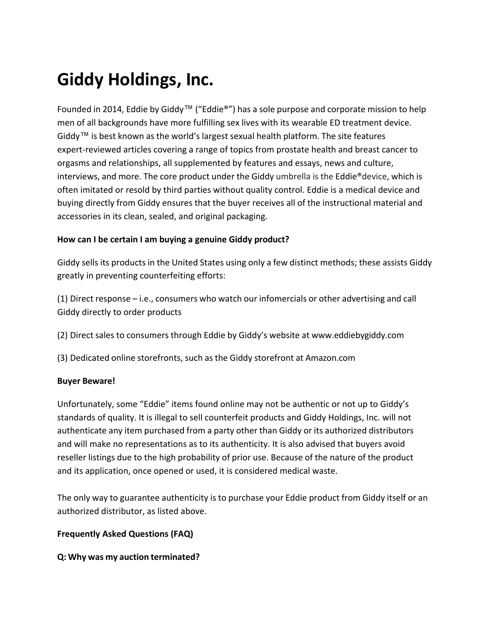# **Giddy Holdings, Inc.**

Founded in 2014, Eddie by Giddy™ ("Eddie®") has a sole purpose and corporate mission to help men of all backgrounds have more fulfilling sex lives with its wearable ED treatment device. Giddy™ is best known as the world's largest sexual health platform. The site features expert-reviewed articles covering a range of topics from prostate health and breast cancer to orgasms and relationships, all supplemented by features and essays, news and culture, interviews, and more. The core product under the Giddy umbrella is the Eddie®device, which is often imitated or resold by third parties without quality control. Eddie is a medical device and buying directly from Giddy ensures that the buyer receives all of the instructional material and accessories in its clean, sealed, and original packaging.

## **How can I be certain I am buying a genuine Giddy product?**

Giddy sells its products in the United States using only a few distinct methods; these assists Giddy greatly in preventing counterfeiting efforts:

(1) Direct response – i.e., consumers who watch our infomercials or other advertising and call Giddy directly to order products

- (2) Direct sales to consumers through Eddie by Giddy's website at [www.eddiebygiddy.com](http://www.eddiebygiddy.com/)
- (3) Dedicated online storefronts, such as the Giddy storefront at Amazon.com

## **Buyer Beware!**

Unfortunately, some "Eddie" items found online may not be authentic or not up to Giddy's standards of quality. It is illegal to sell counterfeit products and Giddy Holdings, Inc. will not authenticate any item purchased from a party other than Giddy or its authorized distributors and will make no representations as to its authenticity. It is also advised that buyers avoid reseller listings due to the high probability of prior use. Because of the nature of the product and its application, once opened or used, it is considered medical waste.

The only way to guarantee authenticity is to purchase your Eddie product from Giddy itself or an authorized distributor, as listed above.

## **Frequently Asked Questions (FAQ)**

## **Q: Why was my auction terminated?**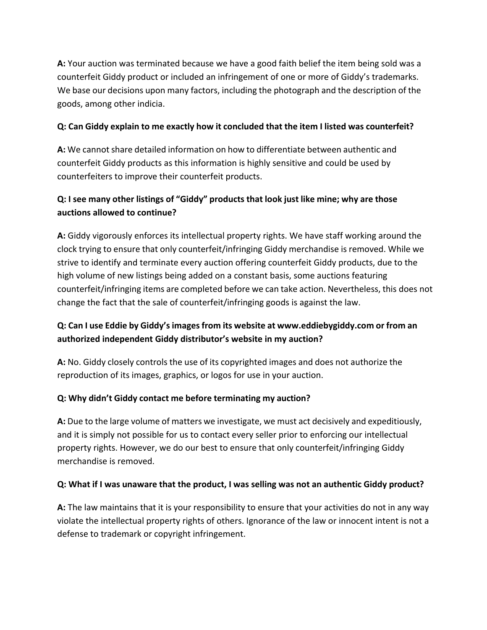**A:** Your auction was terminated because we have a good faith belief the item being sold was a counterfeit Giddy product or included an infringement of one or more of Giddy's trademarks. We base our decisions upon many factors, including the photograph and the description of the goods, among other indicia.

## **Q: Can Giddy explain to me exactly how it concluded that the item I listed was counterfeit?**

**A:** We cannot share detailed information on how to differentiate between authentic and counterfeit Giddy products as this information is highly sensitive and could be used by counterfeiters to improve their counterfeit products.

## **Q: I see many other listings of "Giddy" products that look just like mine; why are those auctions allowed to continue?**

**A:** Giddy vigorously enforces its intellectual property rights. We have staff working around the clock trying to ensure that only counterfeit/infringing Giddy merchandise is removed. While we strive to identify and terminate every auction offering counterfeit Giddy products, due to the high volume of new listings being added on a constant basis, some auctions featuring counterfeit/infringing items are completed before we can take action. Nevertheless, this does not change the fact that the sale of counterfeit/infringing goods is against the law.

## **Q: Can I use Eddie by Giddy'simagesfrom its website at [www.eddiebygiddy.com](http://www.eddiebygiddy.com/) or from an authorized independent Giddy distributor's website in my auction?**

**A:** No. Giddy closely controls the use of its copyrighted images and does not authorize the reproduction of its images, graphics, or logos for use in your auction.

## **Q: Why didn't Giddy contact me before terminating my auction?**

**A:** Due to the large volume of matters we investigate, we must act decisively and expeditiously, and it is simply not possible for us to contact every seller prior to enforcing our intellectual property rights. However, we do our best to ensure that only counterfeit/infringing Giddy merchandise is removed.

## **Q: What if I was unaware that the product, I was selling was not an authentic Giddy product?**

**A:** The law maintains that it is your responsibility to ensure that your activities do not in any way violate the intellectual property rights of others. Ignorance of the law or innocent intent is not a defense to trademark or copyright infringement.